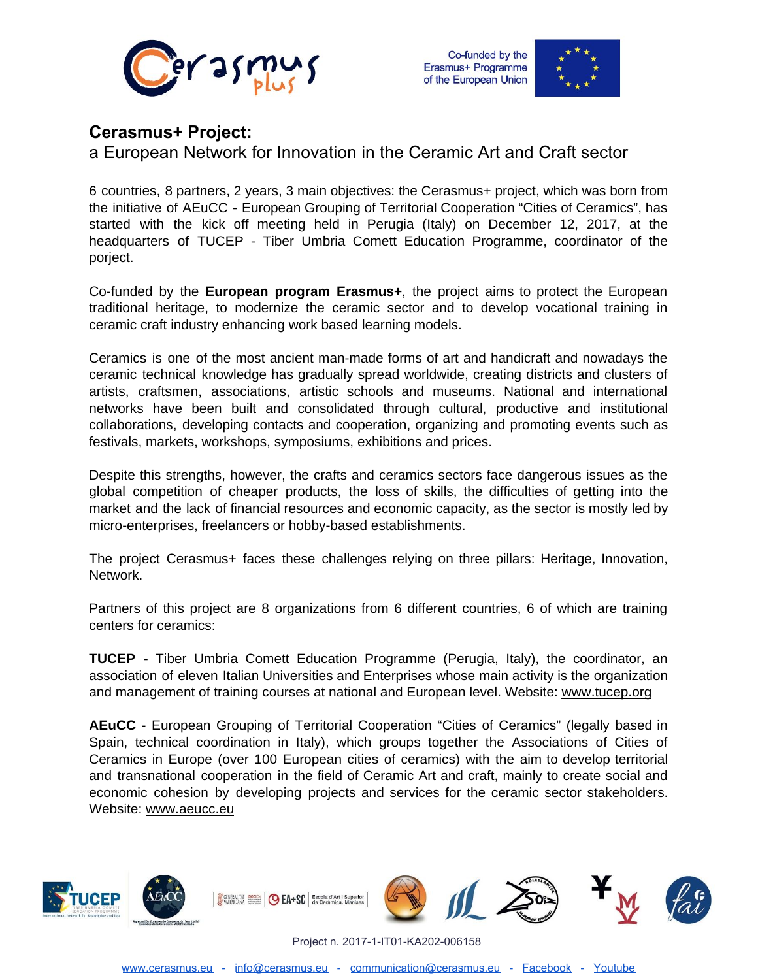



## **Cerasmus+ Project:**

a European Network for Innovation in the Ceramic Art and Craft sector

6 countries, 8 partners, 2 years, 3 main objectives: the Cerasmus+ project, which was born from the initiative of AEuCC - European Grouping of Territorial Cooperation "Cities of Ceramics", has started with the kick off meeting held in Perugia (Italy) on December 12, 2017, at the headquarters of TUCEP - Tiber Umbria Comett Education Programme, coordinator of the porject.

Co-funded by the **European program Erasmus+**, the project aims to protect the European traditional heritage, to modernize the ceramic sector and to develop vocational training in ceramic craft industry enhancing work based learning models.

Ceramics is one of the most ancient man-made forms of art and handicraft and nowadays the ceramic technical knowledge has gradually spread worldwide, creating districts and clusters of artists, craftsmen, associations, artistic schools and museums. National and international networks have been built and consolidated through cultural, productive and institutional collaborations, developing contacts and cooperation, organizing and promoting events such as festivals, markets, workshops, symposiums, exhibitions and prices.

Despite this strengths, however, the crafts and ceramics sectors face dangerous issues as the global competition of cheaper products, the loss of skills, the difficulties of getting into the market and the lack of financial resources and economic capacity, as the sector is mostly led by micro-enterprises, freelancers or hobby-based establishments.

The project Cerasmus+ faces these challenges relying on three pillars: Heritage, Innovation, Network.

Partners of this project are 8 organizations from 6 different countries, 6 of which are training centers for ceramics:

**TUCEP** - Tiber Umbria Comett Education Programme (Perugia, Italy), the coordinator, an association of eleven Italian Universities and Enterprises whose main activity is the organization and management of training courses at national and European level. Website: [www.tucep.org](http://www.tucep.org/)

**AEuCC** - European Grouping of Territorial Cooperation "Cities of Ceramics" (legally based in Spain, technical coordination in Italy), which groups together the Associations of Cities of Ceramics in Europe (over 100 European cities of ceramics) with the aim to develop territorial and transnational cooperation in the field of Ceramic Art and craft, mainly to create social and economic cohesion by developing projects and services for the ceramic sector stakeholders. Website: [www.aeucc.eu](http://www.aeucc.eu/)



Project n. 2017-1-IT01-KA202-006158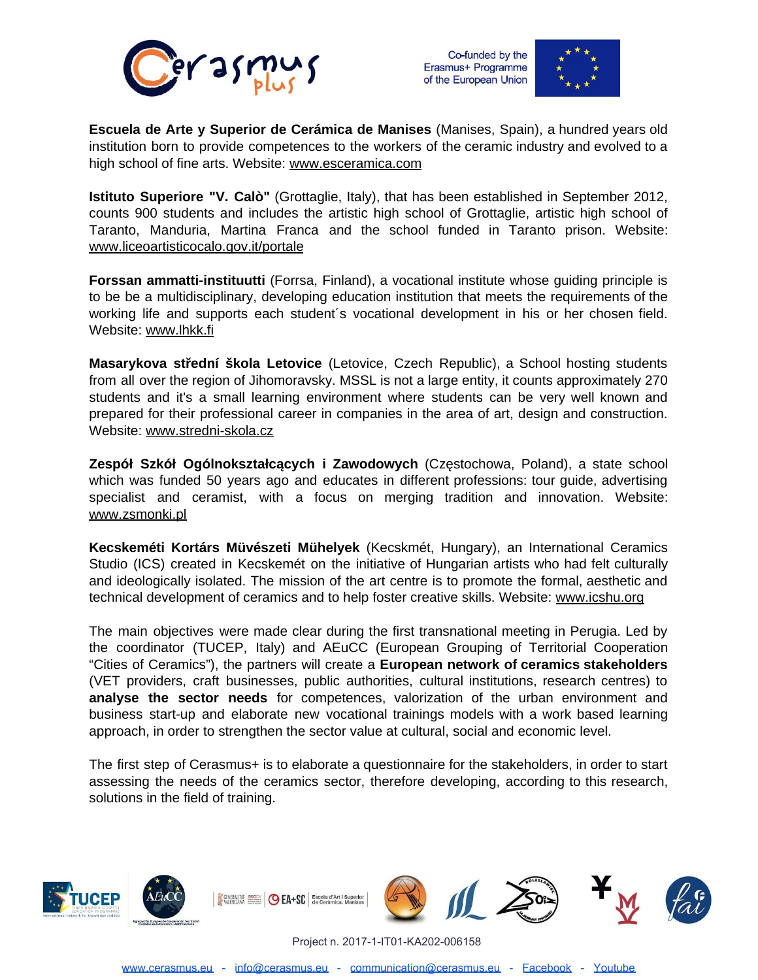





**Escuela de Arte y Superior de Cerámica de Manises** (Manises, Spain), a hundred years old institution born to provide competences to the workers of the ceramic industry and evolved to a high school of fine arts. Website: [www.esceramica.com](http://www.esceramica.com/)

**[Is](http://www.esceramica.com/)tituto Superiore "V. Calò"** (Grottaglie, Italy), that has been established in September 2012, counts 900 students and includes the artistic high school of Grottaglie, artistic high school of Taranto, Manduria, Martina Franca and the school funded in Taranto prison. Website: [www.liceoartisticocalo.gov.it/portale](http://www.liceoartisticocalo.gov.it/portale)

**Forssan ammatti-instituutti** (Forrsa, Finland), a vocational institute whose guiding principle is to be be a multidisciplinary, developing education institution that meets the requirements of the working life and supports each student´s vocational development in his or her chosen field. Website: [www.lhkk.fi](http://www.lhkk.fi/)

**[M](http://www.lhkk.fi/)asarykova střední škola Letovice** (Letovice, Czech Republic), a School hosting students from all over the region of Jihomoravsky. MSSL is not a large entity, it counts approximately 270 students and it's a small learning environment where students can be very well known and prepared for their professional career in companies in the area of art, design and construction. Website: [www.stredni-skola.cz](http://www.stredni-skola.cz/)

**[Z](http://www.stredni-skola.cz/)espół Szkół Ogólnokształcących i Zawodowych** (Częstochowa, Poland), a state school which was funded 50 years ago and educates in different professions: tour guide, advertising specialist and ceramist, with a focus on merging tradition and innovation. Website: [www.zsmonki.pl](http://www.zsmonki.pl/)

**Kecskeméti Kortárs Müvészeti Mühelyek** (Kecskmét, Hungary), an International Ceramics Studio (ICS) created in Kecskemét on the initiative of Hungarian artists who had felt culturally and ideologically isolated. The mission of the art centre is to promote the formal, aesthetic and technical development of ceramics and to help foster creative skills. Website: [www.icshu.org](http://www.icshu.org/)

The main objectives were made clear during the first transnational meeting in Perugia. Led by the coordinator (TUCEP, Italy) and AEuCC (European Grouping of Territorial Cooperation "Cities of Ceramics"), the partners will create a **European network of ceramics stakeholders** (VET providers, craft businesses, public authorities, cultural institutions, research centres) to **analyse the sector needs** for competences, valorization of the urban environment and business start-up and elaborate new vocational trainings models with a work based learning approach, in order to strengthen the sector value at cultural, social and economic level.

[T](http://www.muveszetimuhelyek.org/)he first step of Cerasmus+ is to elaborate a questionnaire for the stakeholders, in order to start assessing the needs of the ceramics sector, therefore developing, according to this research, solutions in the field of training.



Project n. 2017-1-IT01-KA202-006158